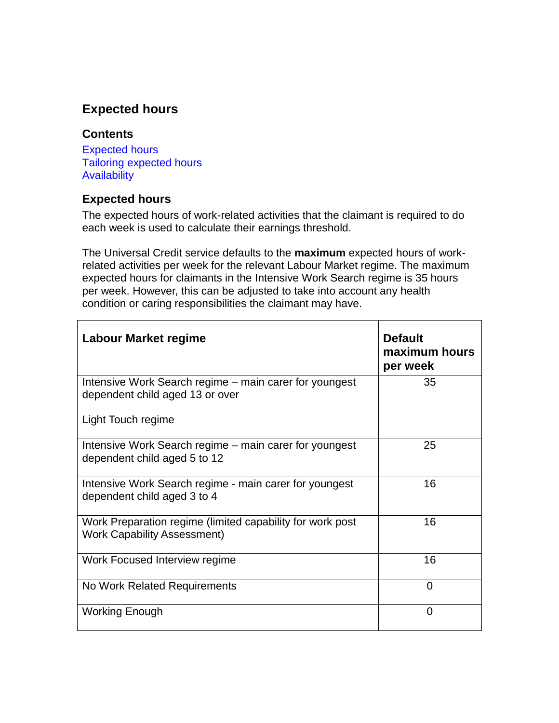# **Expected hours**

## **Contents**

[Expected hours](#page-0-0) [Tailoring expected hours](#page-1-0) [Availability](#page-1-1)

## <span id="page-0-0"></span>**Expected hours**

The expected hours of work-related activities that the claimant is required to do each week is used to calculate their earnings threshold.

The Universal Credit service defaults to the **maximum** expected hours of workrelated activities per week for the relevant Labour Market regime. The maximum expected hours for claimants in the Intensive Work Search regime is 35 hours per week. However, this can be adjusted to take into account any health condition or caring responsibilities the claimant may have.

| Labour Market regime                                                                            | <b>Default</b><br>maximum hours<br>per week |
|-------------------------------------------------------------------------------------------------|---------------------------------------------|
| Intensive Work Search regime - main carer for youngest<br>dependent child aged 13 or over       | 35                                          |
| Light Touch regime                                                                              |                                             |
| Intensive Work Search regime – main carer for youngest<br>dependent child aged 5 to 12          | 25                                          |
| Intensive Work Search regime - main carer for youngest<br>dependent child aged 3 to 4           | 16                                          |
| Work Preparation regime (limited capability for work post<br><b>Work Capability Assessment)</b> | 16                                          |
| Work Focused Interview regime                                                                   | 16                                          |
| No Work Related Requirements                                                                    | 0                                           |
| <b>Working Enough</b>                                                                           | 0                                           |